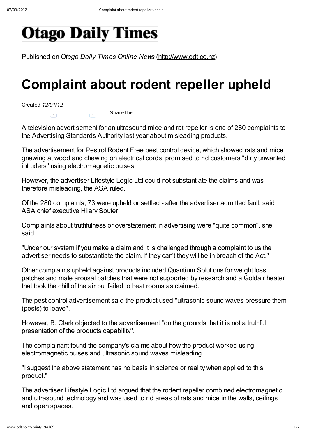## **Otago Daily Times**

Published on Otago Daily Times Online News (http://www.odt.co.nz)

## Complaint about rodent repeller upheld

Created 12/01/12

 $\begin{pmatrix} 0 \\ 1 \end{pmatrix}$  ShareThis

A television advertisement for an ultrasound mice and rat repeller is one of 280 complaints to the Advertising Standards Authority last year about misleading products.

The advertisement for Pestrol Rodent Free pest control device, which showed rats and mice gnawing at wood and chewing on electrical cords, promised to rid customers "dirty unwanted intruders'' using electromagnetic pulses.

However, the advertiser Lifestyle Logic Ltd could not substantiate the claims and was therefore misleading, the ASA ruled.

Of the 280 complaints, 73 were upheld or settled - after the advertiser admitted fault, said ASA chief executive Hilary Souter.

Complaints about truthfulness or overstatement in advertising were "quite common'', she said.

"Under our system if you make a claim and it is challenged through a complaint to us the advertiser needs to substantiate the claim. If they can't they will be in breach of the Act.''

Other complaints upheld against products included Quantium Solutions for weight loss patches and male arousal patches that were not supported by research and a Goldair heater that took the chill of the air but failed to heat rooms as claimed.

The pest control advertisement said the product used "ultrasonic sound waves pressure them (pests) to leave''.

However, B. Clark objected to the advertisement "on the grounds that it is not a truthful presentation of the products capability''.

The complainant found the company's claims about how the product worked using electromagnetic pulses and ultrasonic sound waves misleading.

"I suggest the above statement has no basis in science or reality when applied to this product.''

The advertiser Lifestyle Logic Ltd argued that the rodent repeller combined electromagnetic and ultrasound technology and was used to rid areas of rats and mice in the walls, ceilings and open spaces.